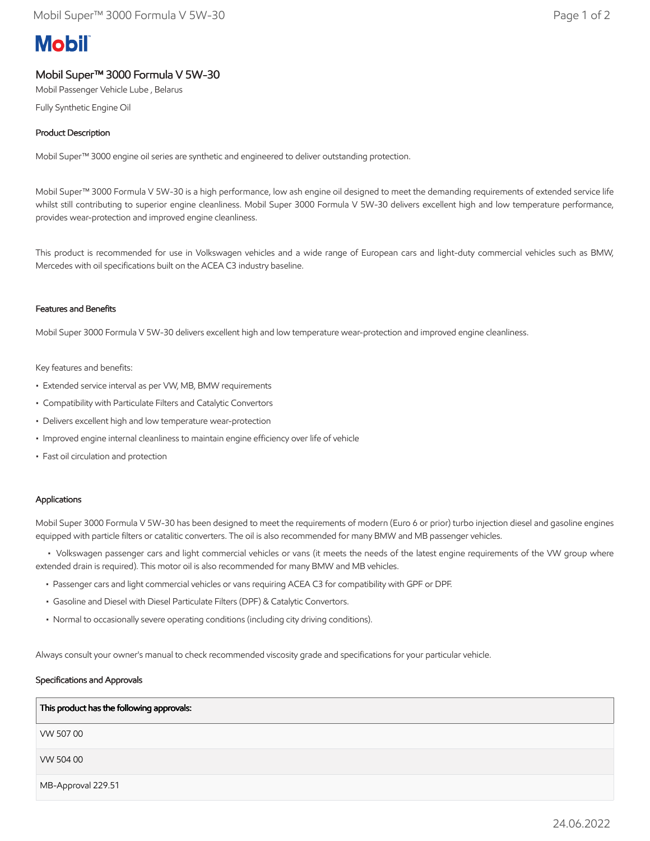# **Mobil**

# Mobil Super™ 3000 Formula V 5W-30

Mobil Passenger Vehicle Lube , Belarus

Fully Synthetic Engine Oil

## Product Description

Mobil Super™ 3000 engine oil series are synthetic and engineered to deliver outstanding protection.

Mobil Super™ 3000 Formula V 5W-30 is a high performance, low ash engine oil designed to meet the demanding requirements of extended service life whilst still contributing to superior engine cleanliness. Mobil Super 3000 Formula V 5W-30 delivers excellent high and low temperature performance, provides wear-protection and improved engine cleanliness.

This product is recommended for use in Volkswagen vehicles and a wide range of European cars and light-duty commercial vehicles such as BMW, Mercedes with oil specifications built on the ACEA C3 industry baseline.

#### Features and Benefits

Mobil Super 3000 Formula V 5W-30 delivers excellent high and low temperature wear-protection and improved engine cleanliness.

#### Key features and benefits:

- Extended service interval as per VW, MB, BMW requirements
- Compatibility with Particulate Filters and Catalytic Convertors
- Delivers excellent high and low temperature wear-protection
- Improved engine internal cleanliness to maintain engine efficiency over life of vehicle
- Fast oil circulation and protection

#### Applications

Mobil Super 3000 Formula V 5W-30 has been designed to meet the requirements of modern (Euro 6 or prior) turbo injection diesel and gasoline engines equipped with particle filters or catalitic converters. The oil is also recommended for many BMW and MB passenger vehicles.

 • Volkswagen passenger cars and light commercial vehicles or vans (it meets the needs of the latest engine requirements of the VW group where extended drain is required). This motor oil is also recommended for many BMW and MB vehicles.

- Passenger cars and light commercial vehicles or vans requiring ACEA C3 for compatibility with GPF or DPF.
- Gasoline and Diesel with Diesel Particulate Filters (DPF) & Catalytic Convertors.
- Normal to occasionally severe operating conditions (including city driving conditions).

Always consult your owner's manual to check recommended viscosity grade and specifications for your particular vehicle.

#### Specifications and Approvals

| This product has the following approvals: |
|-------------------------------------------|
| VW 50700                                  |
| VW 504 00                                 |
| MB-Approval 229.51                        |